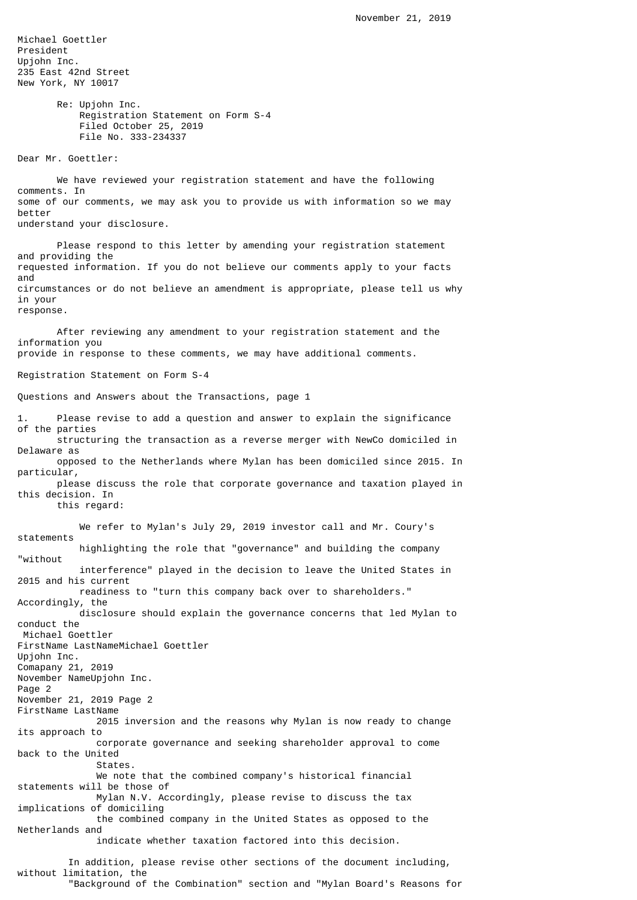Michael Goettler President Upjohn Inc. 235 East 42nd Street New York, NY 10017

> Re: Upjohn Inc. Registration Statement on Form S-4 Filed October 25, 2019 File No. 333-234337

Dear Mr. Goettler:

 We have reviewed your registration statement and have the following comments. In some of our comments, we may ask you to provide us with information so we may better understand your disclosure.

 Please respond to this letter by amending your registration statement and providing the requested information. If you do not believe our comments apply to your facts and circumstances or do not believe an amendment is appropriate, please tell us why in your response.

 After reviewing any amendment to your registration statement and the information you provide in response to these comments, we may have additional comments.

Registration Statement on Form S-4

Questions and Answers about the Transactions, page 1

1. Please revise to add a question and answer to explain the significance of the parties structuring the transaction as a reverse merger with NewCo domiciled in Delaware as opposed to the Netherlands where Mylan has been domiciled since 2015. In particular, please discuss the role that corporate governance and taxation played in this decision. In this regard: We refer to Mylan's July 29, 2019 investor call and Mr. Coury's statements highlighting the role that "governance" and building the company "without interference" played in the decision to leave the United States in 2015 and his current readiness to "turn this company back over to shareholders." Accordingly, the disclosure should explain the governance concerns that led Mylan to conduct the Michael Goettler FirstName LastNameMichael Goettler Upjohn Inc. Comapany 21, 2019 November NameUpjohn Inc. Page 2 November 21, 2019 Page 2 FirstName LastName 2015 inversion and the reasons why Mylan is now ready to change its approach to corporate governance and seeking shareholder approval to come back to the United States. We note that the combined company's historical financial statements will be those of Mylan N.V. Accordingly, please revise to discuss the tax implications of domiciling the combined company in the United States as opposed to the Netherlands and indicate whether taxation factored into this decision. In addition, please revise other sections of the document including,

without limitation, the "Background of the Combination" section and "Mylan Board's Reasons for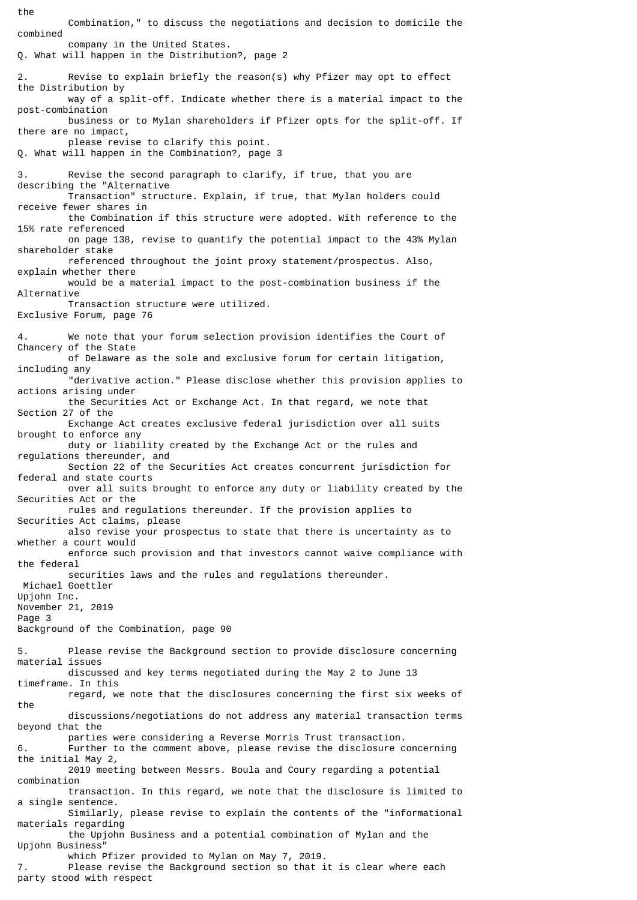the Combination," to discuss the negotiations and decision to domicile the combined company in the United States. Q. What will happen in the Distribution?, page 2 2. Revise to explain briefly the reason(s) why Pfizer may opt to effect the Distribution by way of a split-off. Indicate whether there is a material impact to the post-combination business or to Mylan shareholders if Pfizer opts for the split-off. If there are no impact, please revise to clarify this point. Q. What will happen in the Combination?, page 3 3. Revise the second paragraph to clarify, if true, that you are describing the "Alternative Transaction" structure. Explain, if true, that Mylan holders could receive fewer shares in the Combination if this structure were adopted. With reference to the 15% rate referenced on page 138, revise to quantify the potential impact to the 43% Mylan shareholder stake referenced throughout the joint proxy statement/prospectus. Also, explain whether there would be a material impact to the post-combination business if the Alternative Transaction structure were utilized. Exclusive Forum, page 76 4. We note that your forum selection provision identifies the Court of Chancery of the State of Delaware as the sole and exclusive forum for certain litigation, including any "derivative action." Please disclose whether this provision applies to actions arising under the Securities Act or Exchange Act. In that regard, we note that Section 27 of the Exchange Act creates exclusive federal jurisdiction over all suits brought to enforce any duty or liability created by the Exchange Act or the rules and regulations thereunder, and Section 22 of the Securities Act creates concurrent jurisdiction for federal and state courts over all suits brought to enforce any duty or liability created by the Securities Act or the rules and regulations thereunder. If the provision applies to Securities Act claims, please also revise your prospectus to state that there is uncertainty as to whether a court would enforce such provision and that investors cannot waive compliance with the federal securities laws and the rules and regulations thereunder. Michael Goettler Upjohn Inc. November 21, 2019 Page 3 Background of the Combination, page 90 5. Please revise the Background section to provide disclosure concerning material issues discussed and key terms negotiated during the May 2 to June 13 timeframe. In this regard, we note that the disclosures concerning the first six weeks of the discussions/negotiations do not address any material transaction terms beyond that the parties were considering a Reverse Morris Trust transaction. 6. Further to the comment above, please revise the disclosure concerning the initial May 2, 2019 meeting between Messrs. Boula and Coury regarding a potential combination transaction. In this regard, we note that the disclosure is limited to a single sentence. Similarly, please revise to explain the contents of the "informational materials regarding the Upjohn Business and a potential combination of Mylan and the Upjohn Business" which Pfizer provided to Mylan on May 7, 2019. 7. Please revise the Background section so that it is clear where each party stood with respect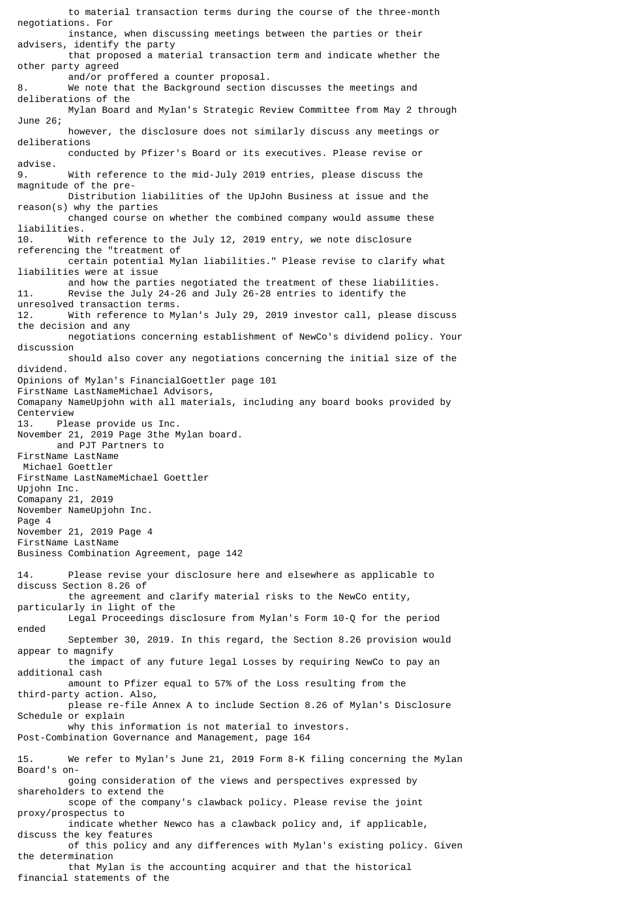to material transaction terms during the course of the three-month negotiations. For instance, when discussing meetings between the parties or their advisers, identify the party that proposed a material transaction term and indicate whether the other party agreed and/or proffered a counter proposal. 8. We note that the Background section discusses the meetings and deliberations of the Mylan Board and Mylan's Strategic Review Committee from May 2 through June 26; however, the disclosure does not similarly discuss any meetings or deliberations conducted by Pfizer's Board or its executives. Please revise or advise. 9. With reference to the mid-July 2019 entries, please discuss the magnitude of the pre- Distribution liabilities of the UpJohn Business at issue and the reason(s) why the parties changed course on whether the combined company would assume these liabilities. 10. With reference to the July 12, 2019 entry, we note disclosure referencing the "treatment of certain potential Mylan liabilities." Please revise to clarify what liabilities were at issue and how the parties negotiated the treatment of these liabilities. 11. Revise the July 24-26 and July 26-28 entries to identify the unresolved transaction terms.<br>12 With reference to My With reference to Mylan's July 29, 2019 investor call, please discuss the decision and any negotiations concerning establishment of NewCo's dividend policy. Your discussion should also cover any negotiations concerning the initial size of the dividend. Opinions of Mylan's FinancialGoettler page 101 FirstName LastNameMichael Advisors, Comapany NameUpjohn with all materials, including any board books provided by Centerview 13. Please provide us Inc. November 21, 2019 Page 3the Mylan board. and PJT Partners to FirstName LastName Michael Goettler FirstName LastNameMichael Goettler Upjohn Inc. Comapany 21, 2019 November NameUpjohn Inc. Page 4 November 21, 2019 Page 4 FirstName LastName Business Combination Agreement, page 142 14. Please revise your disclosure here and elsewhere as applicable to discuss Section 8.26 of the agreement and clarify material risks to the NewCo entity, particularly in light of the Legal Proceedings disclosure from Mylan's Form 10-Q for the period ended September 30, 2019. In this regard, the Section 8.26 provision would appear to magnify the impact of any future legal Losses by requiring NewCo to pay an additional cash amount to Pfizer equal to 57% of the Loss resulting from the third-party action. Also, please re-file Annex A to include Section 8.26 of Mylan's Disclosure Schedule or explain why this information is not material to investors. Post-Combination Governance and Management, page 164 15. We refer to Mylan's June 21, 2019 Form 8-K filing concerning the Mylan Board's on going consideration of the views and perspectives expressed by shareholders to extend the scope of the company's clawback policy. Please revise the joint proxy/prospectus to indicate whether Newco has a clawback policy and, if applicable, discuss the key features of this policy and any differences with Mylan's existing policy. Given the determination that Mylan is the accounting acquirer and that the historical financial statements of the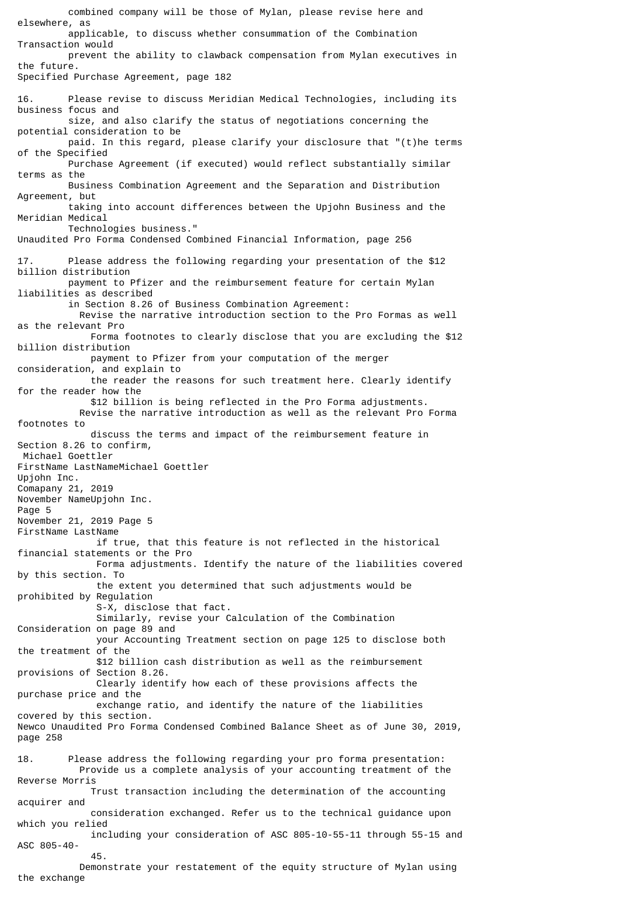combined company will be those of Mylan, please revise here and elsewhere, as applicable, to discuss whether consummation of the Combination Transaction would prevent the ability to clawback compensation from Mylan executives in the future. Specified Purchase Agreement, page 182 16. Please revise to discuss Meridian Medical Technologies, including its business focus and size, and also clarify the status of negotiations concerning the potential consideration to be paid. In this regard, please clarify your disclosure that "(t)he terms of the Specified Purchase Agreement (if executed) would reflect substantially similar terms as the Business Combination Agreement and the Separation and Distribution Agreement, but taking into account differences between the Upjohn Business and the Meridian Medical Technologies business." Unaudited Pro Forma Condensed Combined Financial Information, page 256 17. Please address the following regarding your presentation of the \$12 billion distribution payment to Pfizer and the reimbursement feature for certain Mylan liabilities as described in Section 8.26 of Business Combination Agreement: Revise the narrative introduction section to the Pro Formas as well as the relevant Pro Forma footnotes to clearly disclose that you are excluding the \$12 billion distribution payment to Pfizer from your computation of the merger consideration, and explain to the reader the reasons for such treatment here. Clearly identify for the reader how the \$12 billion is being reflected in the Pro Forma adjustments. Revise the narrative introduction as well as the relevant Pro Forma footnotes to discuss the terms and impact of the reimbursement feature in Section 8.26 to confirm, Michael Goettler FirstName LastNameMichael Goettler Upjohn Inc. Comapany 21, 2019 November NameUpjohn Inc. Page 5 November 21, 2019 Page 5 FirstName LastName if true, that this feature is not reflected in the historical financial statements or the Pro Forma adjustments. Identify the nature of the liabilities covered by this section. To the extent you determined that such adjustments would be prohibited by Regulation S-X, disclose that fact. Similarly, revise your Calculation of the Combination Consideration on page 89 and your Accounting Treatment section on page 125 to disclose both the treatment of the \$12 billion cash distribution as well as the reimbursement provisions of Section 8.26. Clearly identify how each of these provisions affects the purchase price and the exchange ratio, and identify the nature of the liabilities covered by this section. Newco Unaudited Pro Forma Condensed Combined Balance Sheet as of June 30, 2019, page 258 18. Please address the following regarding your pro forma presentation: Provide us a complete analysis of your accounting treatment of the Reverse Morris Trust transaction including the determination of the accounting acquirer and consideration exchanged. Refer us to the technical guidance upon which you relied including your consideration of ASC 805-10-55-11 through 55-15 and ASC 805-40-  $45.$  Demonstrate your restatement of the equity structure of Mylan using the exchange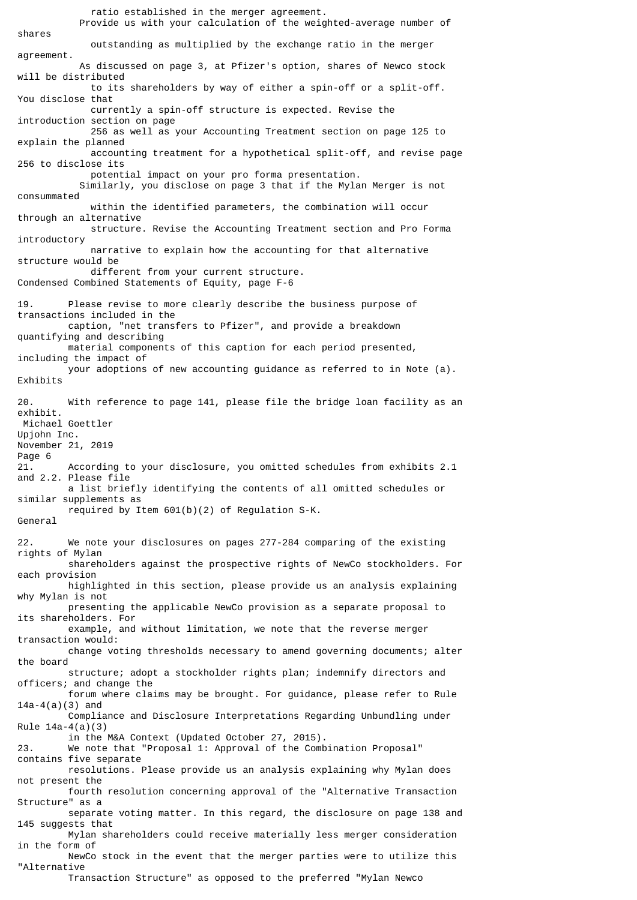ratio established in the merger agreement. Provide us with your calculation of the weighted-average number of shares outstanding as multiplied by the exchange ratio in the merger agreement. As discussed on page 3, at Pfizer's option, shares of Newco stock will be distributed to its shareholders by way of either a spin-off or a split-off. You disclose that currently a spin-off structure is expected. Revise the introduction section on page 256 as well as your Accounting Treatment section on page 125 to explain the planned accounting treatment for a hypothetical split-off, and revise page 256 to disclose its potential impact on your pro forma presentation. Similarly, you disclose on page 3 that if the Mylan Merger is not consummated within the identified parameters, the combination will occur through an alternative structure. Revise the Accounting Treatment section and Pro Forma introductory narrative to explain how the accounting for that alternative structure would be different from your current structure. Condensed Combined Statements of Equity, page F-6 19. Please revise to more clearly describe the business purpose of transactions included in the caption, "net transfers to Pfizer", and provide a breakdown quantifying and describing material components of this caption for each period presented, including the impact of your adoptions of new accounting guidance as referred to in Note (a). Exhibits 20. With reference to page 141, please file the bridge loan facility as an exhibit. Michael Goettler Upjohn Inc. November 21, 2019 Page 6 21. According to your disclosure, you omitted schedules from exhibits 2.1 and 2.2. Please file a list briefly identifying the contents of all omitted schedules or similar supplements as required by Item 601(b)(2) of Regulation S-K. General 22. We note your disclosures on pages 277-284 comparing of the existing rights of Mylan shareholders against the prospective rights of NewCo stockholders. For each provision highlighted in this section, please provide us an analysis explaining why Mylan is not presenting the applicable NewCo provision as a separate proposal to its shareholders. For example, and without limitation, we note that the reverse merger transaction would: change voting thresholds necessary to amend governing documents; alter the board structure; adopt a stockholder rights plan; indemnify directors and officers; and change the forum where claims may be brought. For guidance, please refer to Rule 14a-4(a)(3) and Compliance and Disclosure Interpretations Regarding Unbundling under Rule 14a-4(a)(3) in the M&A Context (Updated October 27, 2015). 23. We note that "Proposal 1: Approval of the Combination Proposal" contains five separate resolutions. Please provide us an analysis explaining why Mylan does not present the fourth resolution concerning approval of the "Alternative Transaction Structure" as a separate voting matter. In this regard, the disclosure on page 138 and 145 suggests that Mylan shareholders could receive materially less merger consideration in the form of NewCo stock in the event that the merger parties were to utilize this "Alternative

Transaction Structure" as opposed to the preferred "Mylan Newco